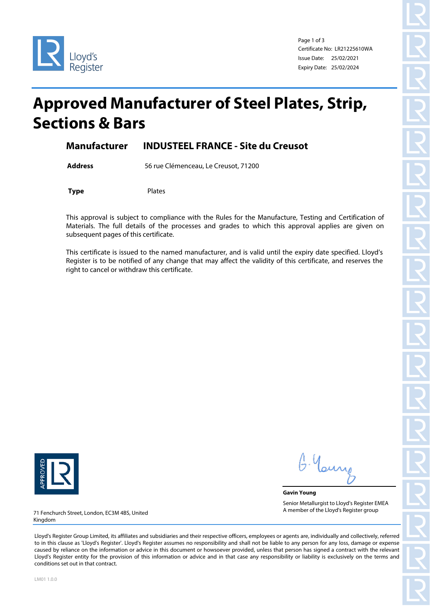

Page 1 of 3 Certificate No: LR21225610WA Issue Date: 25/02/2021 Expiry Date: 25/02/2024

# **Approved Manufacturer of Steel Plates, Strip, Sections & Bars**

### **Manufacturer INDUSTEEL FRANCE - Site du Creusot**

**Address** 56 rue Clémenceau, Le Creusot, 71200

**Type** Plates

This approval is subject to compliance with the Rules for the Manufacture, Testing and Certification of Materials. The full details of the processes and grades to which this approval applies are given on subsequent pages of this certificate.

This certificate is issued to the named manufacturer, and is valid until the expiry date specified. Lloyd's Register is to be notified of any change that may affect the validity of this certificate, and reserves the right to cancel or withdraw this certificate.



G. Yan

**Gavin Young** Senior Metallurgist to Lloyd's Register EMEA A member of the Lloyd's Register group

71 Fenchurch Street, London, EC3M 4BS, United Kingdom

Lloyd's Register Group Limited, its affiliates and subsidiaries and their respective officers, employees or agents are, individually and collectively, referred to in this clause as 'Lloyd's Register'. Lloyd's Register assumes no responsibility and shall not be liable to any person for any loss, damage or expense caused by reliance on the information or advice in this document or howsoever provided, unless that person has signed a contract with the relevant Lloyd's Register entity for the provision of this information or advice and in that case any responsibility or liability is exclusively on the terms and conditions set out in that contract.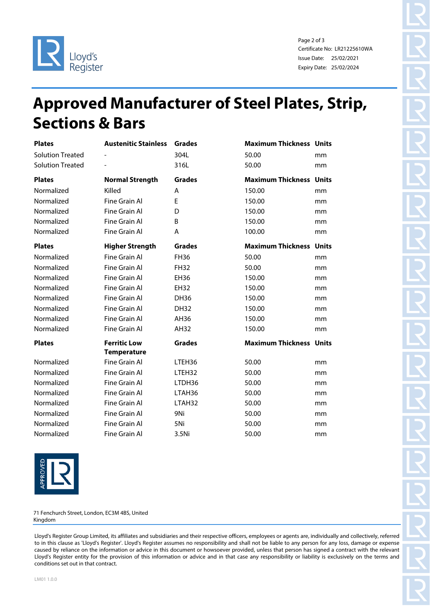

Page 2 of 3 Certificate No: LR21225610WA Issue Date: 25/02/2021 Expiry Date: 25/02/2024

# **Approved Manufacturer of Steel Plates, Strip, Sections & Bars**

| <b>Plates</b>           | <b>Austenitic Stainless</b>               | <b>Grades</b> | <b>Maximum Thickness Units</b> |    |
|-------------------------|-------------------------------------------|---------------|--------------------------------|----|
| <b>Solution Treated</b> |                                           | 304L          | 50.00                          | mm |
| <b>Solution Treated</b> |                                           | 316L          | 50.00                          | mm |
| <b>Plates</b>           | <b>Normal Strength</b>                    | <b>Grades</b> | <b>Maximum Thickness Units</b> |    |
| Normalized              | Killed                                    | A             | 150.00                         | mm |
| Normalized              | Fine Grain Al                             | E             | 150.00                         | mm |
| Normalized              | Fine Grain Al                             | D             | 150.00                         | mm |
| Normalized              | Fine Grain Al                             | B             | 150.00                         | mm |
| Normalized              | Fine Grain Al                             | A             | 100.00                         | mm |
| <b>Plates</b>           | <b>Higher Strength</b>                    | <b>Grades</b> | <b>Maximum Thickness Units</b> |    |
| Normalized              | Fine Grain Al                             | <b>FH36</b>   | 50.00                          | mm |
| Normalized              | Fine Grain Al                             | <b>FH32</b>   | 50.00                          | mm |
| Normalized              | Fine Grain Al                             | <b>EH36</b>   | 150.00                         | mm |
| Normalized              | Fine Grain Al                             | EH32          | 150.00                         | mm |
| Normalized              | Fine Grain Al                             | <b>DH36</b>   | 150.00                         | mm |
| Normalized              | Fine Grain Al                             | <b>DH32</b>   | 150.00                         | mm |
| Normalized              | <b>Fine Grain Al</b>                      | AH36          | 150.00                         | mm |
| Normalized              | Fine Grain Al                             | AH32          | 150.00                         | mm |
| <b>Plates</b>           | <b>Ferritic Low</b><br><b>Temperature</b> | <b>Grades</b> | <b>Maximum Thickness Units</b> |    |
| Normalized              | Fine Grain Al                             | LTEH36        | 50.00                          | mm |
| Normalized              | Fine Grain Al                             | LTEH32        | 50.00                          | mm |
| Normalized              | Fine Grain Al                             | LTDH36        | 50.00                          | mm |
| Normalized              | Fine Grain Al                             | LTAH36        | 50.00                          | mm |
| Normalized              | Fine Grain Al                             | LTAH32        | 50.00                          | mm |
| Normalized              | Fine Grain Al                             | 9Ni           | 50.00                          | mm |
| Normalized              | Fine Grain Al                             | 5Ni           | 50.00                          | mm |
| Normalized              | Fine Grain Al                             | 3.5Ni         | 50.00                          | mm |



71 Fenchurch Street, London, EC3M 4BS, United Kingdom

Lloyd's Register Group Limited, its affiliates and subsidiaries and their respective officers, employees or agents are, individually and collectively, referred to in this clause as 'Lloyd's Register'. Lloyd's Register assumes no responsibility and shall not be liable to any person for any loss, damage or expense caused by reliance on the information or advice in this document or howsoever provided, unless that person has signed a contract with the relevant Lloyd's Register entity for the provision of this information or advice and in that case any responsibility or liability is exclusively on the terms and conditions set out in that contract.